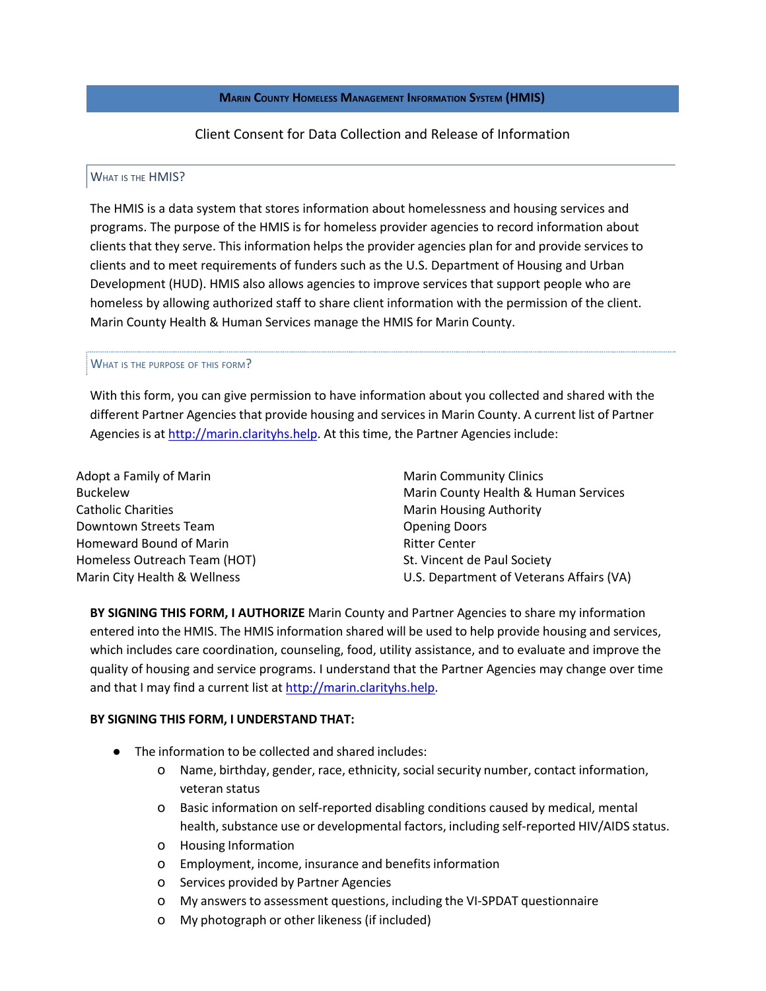**MARIN COUNTY HOMELESS MANAGEMENT INFORMATION SYSTEM (HMIS)**

Client Consent for Data Collection and Release of Information

## WHAT IS THE HMIS?

The HMIS is a data system that stores information about homelessness and housing services and programs. The purpose of the HMIS is for homeless provider agencies to record information about clients that they serve. This information helps the provider agencies plan for and provide services to clients and to meet requirements of funders such as the U.S. Department of Housing and Urban Development (HUD). HMIS also allows agencies to improve services that support people who are homeless by allowing authorized staff to share client information with the permission of the client. Marin County Health & Human Services manage the HMIS for Marin County.

## WHAT IS THE PURPOSE OF THIS FORM?

With this form, you can give permission to have information about you collected and shared with the different Partner Agencies that provide housing and services in Marin County. A current list of Partner Agencies is at http://marin.clarityhs.help. At this time, the Partner Agencies include:

Adopt a Family of Marin Buckelew Catholic Charities Downtown Streets Team Homeward Bound of Marin Homeless Outreach Team (HOT) Marin City Health & Wellness

Marin Community Clinics Marin County Health & Human Services Marin Housing Authority Opening Doors Ritter Center St. Vincent de Paul Society U.S. Department of Veterans Affairs (VA)

**BY SIGNING THIS FORM, I AUTHORIZE** Marin County and Partner Agencies to share my information entered into the HMIS. The HMIS information shared will be used to help provide housing and services, which includes care coordination, counseling, food, utility assistance, and to evaluate and improve the quality of housing and service programs. I understand that the Partner Agencies may change over time and that I may find a current list at http://marin.clarityhs.help.

## **BY SIGNING THIS FORM, I UNDERSTAND THAT:**

- The information to be collected and shared includes:
	- o Name, birthday, gender, race, ethnicity, social security number, contact information, veteran status
	- o Basic information on self-reported disabling conditions caused by medical, mental health, substance use or developmental factors, including self-reported HIV/AIDS status.
	- o Housing Information
	- o Employment, income, insurance and benefitsinformation
	- o Services provided by Partner Agencies
	- o My answersto assessment questions, including the VI-SPDAT questionnaire
	- o My photograph or other likeness (if included)